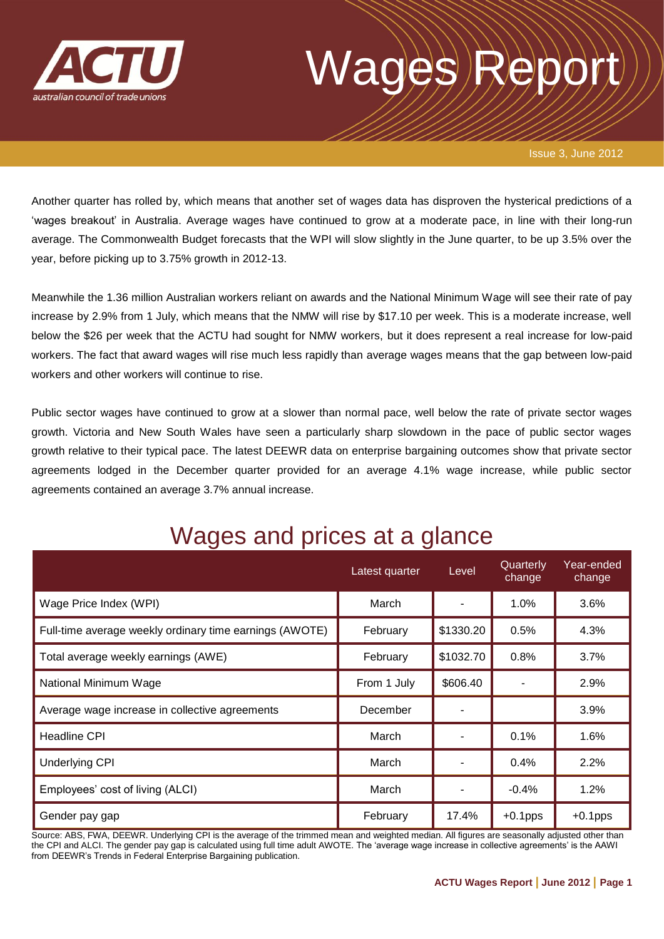

# wages

Issue 3, June 2012

Another quarter has rolled by, which means that another set of wages data has disproven the hysterical predictions of a 'wages breakout' in Australia. Average wages have continued to grow at a moderate pace, in line with their long-run average. The Commonwealth Budget forecasts that the WPI will slow slightly in the June quarter, to be up 3.5% over the year, before picking up to 3.75% growth in 2012-13.

Meanwhile the 1.36 million Australian workers reliant on awards and the National Minimum Wage will see their rate of pay increase by 2.9% from 1 July, which means that the NMW will rise by \$17.10 per week. This is a moderate increase, well below the \$26 per week that the ACTU had sought for NMW workers, but it does represent a real increase for low-paid workers. The fact that award wages will rise much less rapidly than average wages means that the gap between low-paid workers and other workers will continue to rise.

Public sector wages have continued to grow at a slower than normal pace, well below the rate of private sector wages growth. Victoria and New South Wales have seen a particularly sharp slowdown in the pace of public sector wages growth relative to their typical pace. The latest DEEWR data on enterprise bargaining outcomes show that private sector agreements lodged in the December quarter provided for an average 4.1% wage increase, while public sector agreements contained an average 3.7% annual increase.

|                                                         | Latest quarter | Level     | Quarterly<br>change | Year-ended<br>change |
|---------------------------------------------------------|----------------|-----------|---------------------|----------------------|
| Wage Price Index (WPI)                                  | March          |           | 1.0%                | 3.6%                 |
| Full-time average weekly ordinary time earnings (AWOTE) | February       | \$1330.20 | 0.5%                | 4.3%                 |
| Total average weekly earnings (AWE)                     | February       | \$1032.70 | 0.8%                | 3.7%                 |
| National Minimum Wage                                   | From 1 July    | \$606.40  |                     | 2.9%                 |
| Average wage increase in collective agreements          | December       |           |                     | 3.9%                 |
| <b>Headline CPI</b>                                     | March          |           | 0.1%                | 1.6%                 |
| <b>Underlying CPI</b>                                   | March          |           | 0.4%                | 2.2%                 |
| Employees' cost of living (ALCI)                        | March          |           | $-0.4%$             | 1.2%                 |
| Gender pay gap                                          | February       | 17.4%     | $+0.1$ pps          | $+0.1$ pps           |

Wages and prices at a glance

Source: ABS, FWA, DEEWR. Underlying CPI is the average of the trimmed mean and weighted median. All figures are seasonally adjusted other than the CPI and ALCI. The gender pay gap is calculated using full time adult AWOTE. The 'average wage increase in collective agreements' is the AAWI from DEEWR's Trends in Federal Enterprise Bargaining publication.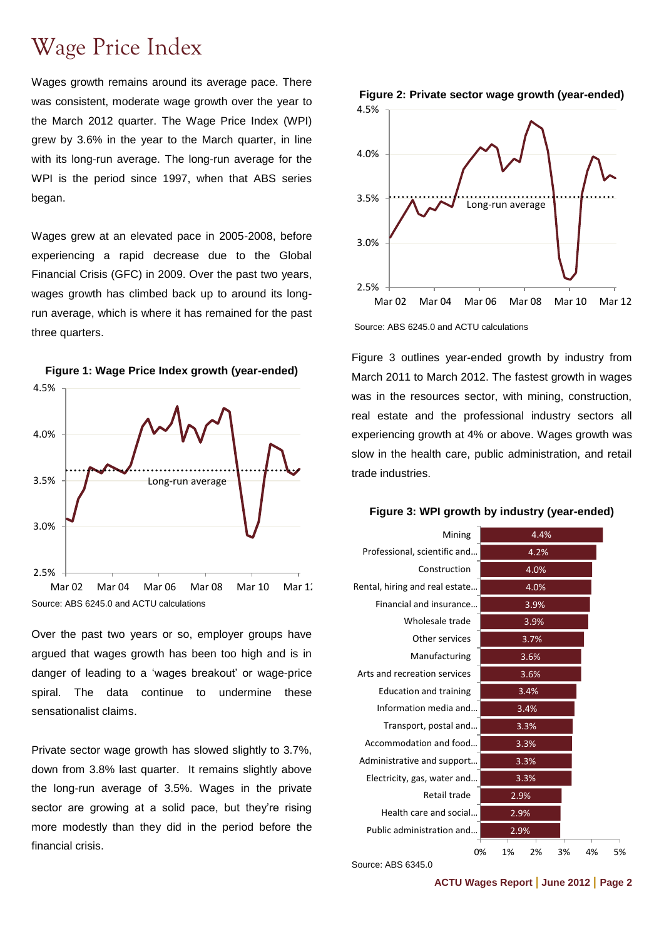## Wage Price Index

Wages growth remains around its average pace. There was consistent, moderate wage growth over the year to the March 2012 quarter. The Wage Price Index (WPI) grew by 3.6% in the year to the March quarter, in line with its long-run average. The long-run average for the WPI is the period since 1997, when that ABS series began.

Wages grew at an elevated pace in 2005-2008, before experiencing a rapid decrease due to the Global Financial Crisis (GFC) in 2009. Over the past two years, wages growth has climbed back up to around its longrun average, which is where it has remained for the past three quarters.





Source: ABS 6245.0 and ACTU calculations Mar 02 Mar 04 Mar 06 Mar 08 Mar 10 Mar 12

Over the past two years or so, employer groups have argued that wages growth has been too high and is in danger of leading to a 'wages breakout' or wage-price spiral. The data continue to undermine these sensationalist claims.

Private sector wage growth has slowed slightly to 3.7%, down from 3.8% last quarter. It remains slightly above the long-run average of 3.5%. Wages in the private sector are growing at a solid pace, but they're rising more modestly than they did in the period before the financial crisis.



Source: ABS 6245.0 and ACTU calculations

[Figure 3](#page-1-0) outlines year-ended growth by industry from March 2011 to March 2012. The fastest growth in wages was in the resources sector, with mining, construction, real estate and the professional industry sectors all experiencing growth at 4% or above. Wages growth was slow in the health care, public administration, and retail trade industries.

#### <span id="page-1-0"></span>**Figure 3: WPI growth by industry (year-ended)**

| Mining                         | 4.4% |    |      |    |    |    |
|--------------------------------|------|----|------|----|----|----|
| Professional, scientific and   |      |    | 4.2% |    |    |    |
| Construction                   |      |    | 4.0% |    |    |    |
| Rental, hiring and real estate |      |    | 4.0% |    |    |    |
| Financial and insurance        |      |    | 3.9% |    |    |    |
| Wholesale trade                |      |    | 3.9% |    |    |    |
| Other services                 |      |    | 3.7% |    |    |    |
| Manufacturing                  |      |    | 3.6% |    |    |    |
| Arts and recreation services   |      |    | 3.6% |    |    |    |
| <b>Education and training</b>  |      |    | 3.4% |    |    |    |
| Information media and          |      |    | 3.4% |    |    |    |
| Transport, postal and          |      |    | 3.3% |    |    |    |
| Accommodation and food         |      |    | 3.3% |    |    |    |
| Administrative and support     |      |    | 3.3% |    |    |    |
| Electricity, gas, water and    | 3.3% |    |      |    |    |    |
| Retail trade                   | 2.9% |    |      |    |    |    |
| Health care and social         | 2.9% |    |      |    |    |    |
| Public administration and      | 2.9% |    |      |    |    |    |
| 0%                             |      | 1% | 2%   | 3% | 4% | 5% |

Source: ABS 6345.0

**ACTU Wages Report | June 2012 | Page 2**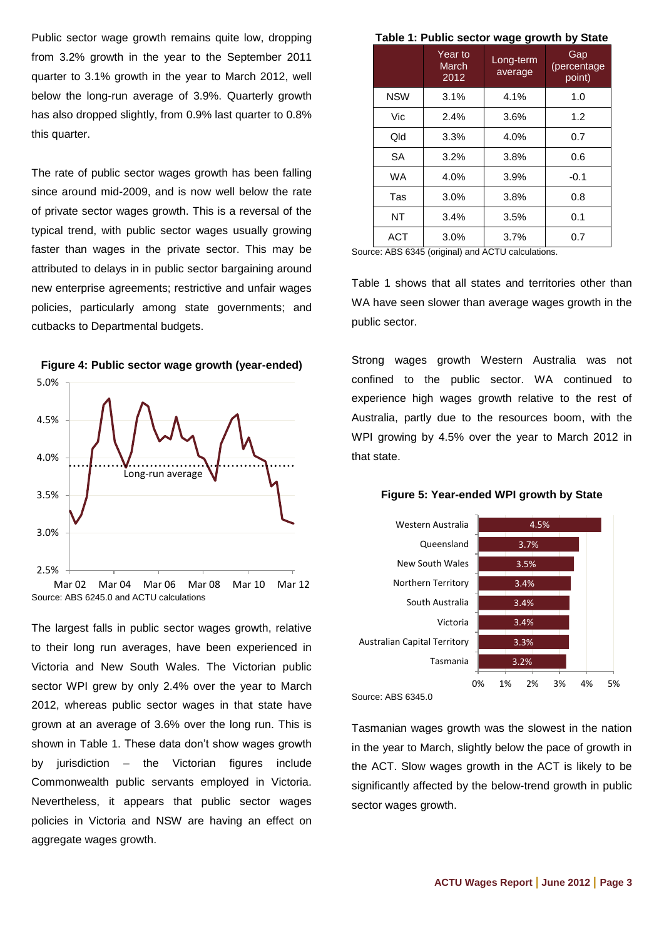Public sector wage growth remains quite low, dropping from 3.2% growth in the year to the September 2011 quarter to 3.1% growth in the year to March 2012, well below the long-run average of 3.9%. Quarterly growth has also dropped slightly, from 0.9% last quarter to 0.8% this quarter.

The rate of public sector wages growth has been falling since around mid-2009, and is now well below the rate of private sector wages growth. This is a reversal of the typical trend, with public sector wages usually growing faster than wages in the private sector. This may be attributed to delays in in public sector bargaining around new enterprise agreements; restrictive and unfair wages policies, particularly among state governments; and cutbacks to Departmental budgets.



### **Figure 4: Public sector wage growth (year-ended)**

The largest falls in public sector wages growth, relative to their long run averages, have been experienced in Victoria and New South Wales. The Victorian public sector WPI grew by only 2.4% over the year to March 2012, whereas public sector wages in that state have grown at an average of 3.6% over the long run. This is shown in [Table 1.](#page-2-0) These data don't show wages growth by jurisdiction – the Victorian figures include Commonwealth public servants employed in Victoria. Nevertheless, it appears that public sector wages policies in Victoria and NSW are having an effect on aggregate wages growth.

#### **Table 1: Public sector wage growth by State**

<span id="page-2-0"></span>

|                          | . פ - פי             | - ,                          |
|--------------------------|----------------------|------------------------------|
| Year to<br>March<br>2012 | Long-term<br>average | Gap<br>(percentage<br>point) |
| 3.1%                     | 4.1%                 | 1.0                          |
| 2.4%                     | 3.6%                 | 1.2                          |
| 3.3%                     | 4.0%                 | 0.7                          |
| 3.2%                     | 3.8%                 | 0.6                          |
| 4.0%                     | 3.9%                 | $-0.1$                       |
| 3.0%                     | 3.8%                 | 0.8                          |
| 3.4%                     | 3.5%                 | 0.1                          |
| 3.0%                     | 3.7%                 | 0.7                          |
|                          |                      |                              |

Source: ABS 6345 (original) and ACTU calculations.

[Table 1](#page-2-0) shows that all states and territories other than WA have seen slower than average wages growth in the public sector.

Strong wages growth Western Australia was not confined to the public sector. WA continued to experience high wages growth relative to the rest of Australia, partly due to the resources boom, with the WPI growing by 4.5% over the year to March 2012 in that state.





Source: ABS 6345.0

Tasmanian wages growth was the slowest in the nation in the year to March, slightly below the pace of growth in the ACT. Slow wages growth in the ACT is likely to be significantly affected by the below-trend growth in public sector wages growth.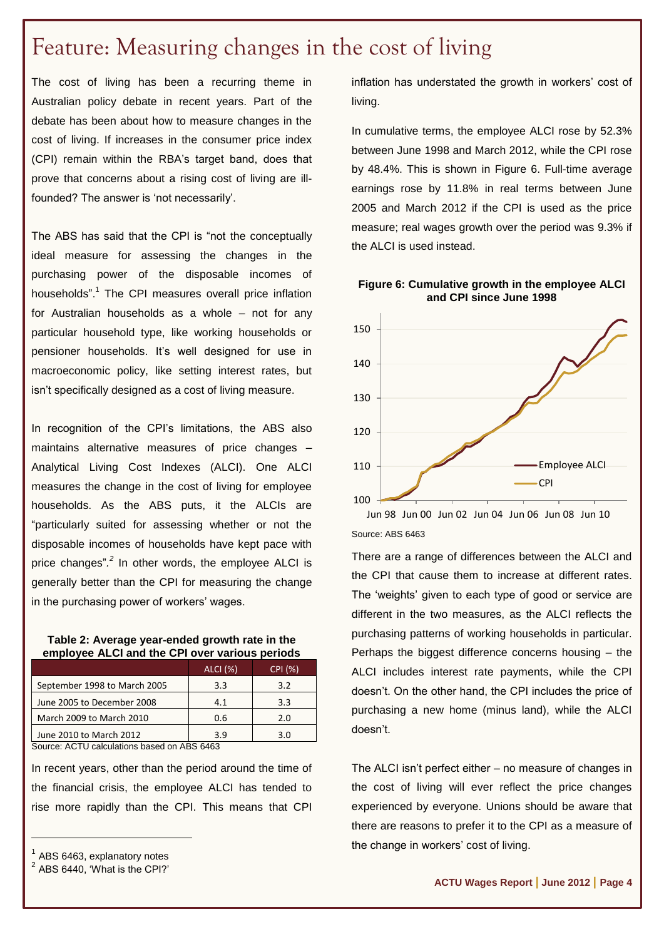## Feature: Measuring changes in the cost of living

The cost of living has been a recurring theme in Australian policy debate in recent years. Part of the debate has been about how to measure changes in the cost of living. If increases in the consumer price index (CPI) remain within the RBA's target band, does that prove that concerns about a rising cost of living are illfounded? The answer is 'not necessarily'.

The ABS has said that the CPI is "not the conceptually ideal measure for assessing the changes in the purchasing power of the disposable incomes of households".<sup>1</sup> The CPI measures overall price inflation for Australian households as a whole – not for any particular household type, like working households or pensioner households. It's well designed for use in macroeconomic policy, like setting interest rates, but isn't specifically designed as a cost of living measure.

In recognition of the CPI's limitations, the ABS also maintains alternative measures of price changes – Analytical Living Cost Indexes (ALCI). One ALCI measures the change in the cost of living for employee households. As the ABS puts, it the ALCIs are "particularly suited for assessing whether or not the disposable incomes of households have kept pace with price changes"*. 2* In other words, the employee ALCI is generally better than the CPI for measuring the change in the purchasing power of workers' wages.

#### **Table 2: Average year-ended growth rate in the employee ALCI and the CPI over various periods**

|                              | ALCI (%) | CPI (%) |
|------------------------------|----------|---------|
| September 1998 to March 2005 | 3.3      | 3.2     |
| June 2005 to December 2008   | 4.1      | 3.3     |
| March 2009 to March 2010     | 0.6      | 2.0     |
| June 2010 to March 2012      | 3 g      | 3.0     |

Source: ACTU calculations based on ABS 6463

In recent years, other than the period around the time of the financial crisis, the employee ALCI has tended to rise more rapidly than the CPI. This means that CPI

 $\overline{a}$ 

inflation has understated the growth in workers' cost of living.

In cumulative terms, the employee ALCI rose by 52.3% between June 1998 and March 2012, while the CPI rose by 48.4%. This is shown in [Figure 6.](#page-3-0) Full-time average earnings rose by 11.8% in real terms between June 2005 and March 2012 if the CPI is used as the price measure; real wages growth over the period was 9.3% if the ALCI is used instead.

<span id="page-3-0"></span>



Source: ABS 6463

There are a range of differences between the ALCI and the CPI that cause them to increase at different rates. The 'weights' given to each type of good or service are different in the two measures, as the ALCI reflects the purchasing patterns of working households in particular. Perhaps the biggest difference concerns housing – the ALCI includes interest rate payments, while the CPI doesn't. On the other hand, the CPI includes the price of purchasing a new home (minus land), while the ALCI doesn't.

The ALCI isn't perfect either – no measure of changes in the cost of living will ever reflect the price changes experienced by everyone. Unions should be aware that there are reasons to prefer it to the CPI as a measure of the change in workers' cost of living.

<sup>1</sup> ABS 6463, explanatory notes 2

ABS 6440, 'What is the CPI?'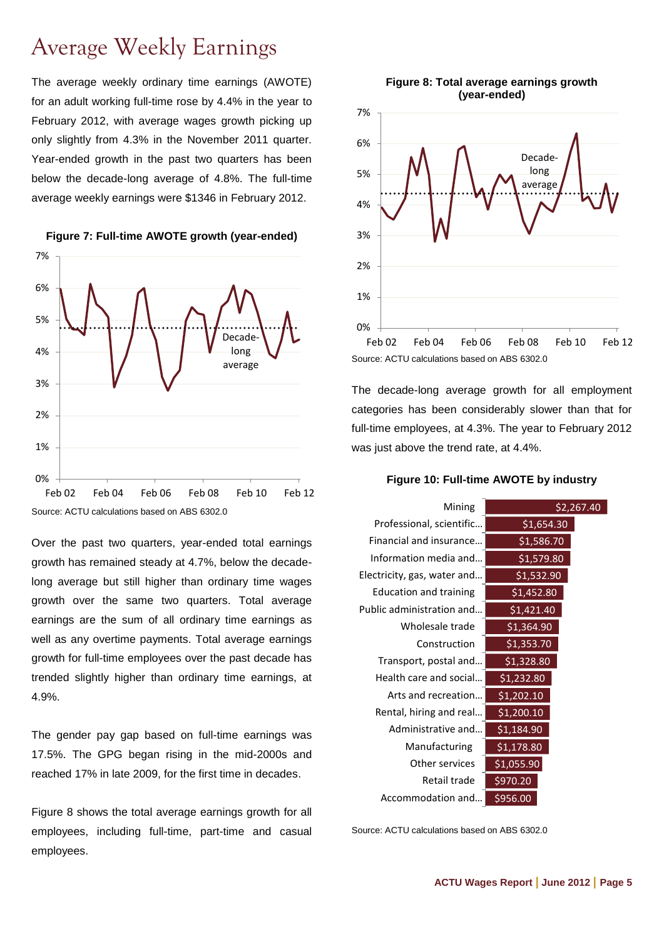## Average Weekly Earnings

The average weekly ordinary time earnings (AWOTE) for an adult working full-time rose by 4.4% in the year to February 2012, with average wages growth picking up only slightly from 4.3% in the November 2011 quarter. Year-ended growth in the past two quarters has been below the decade-long average of 4.8%. The full-time average weekly earnings were \$1346 in February 2012.



**Figure 7: Full-time AWOTE growth (year-ended)**

Source: ACTU calculations based on ABS 6302.0

Over the past two quarters, year-ended total earnings growth has remained steady at 4.7%, below the decadelong average but still higher than ordinary time wages growth over the same two quarters. Total average earnings are the sum of all ordinary time earnings as well as any overtime payments. Total average earnings growth for full-time employees over the past decade has trended slightly higher than ordinary time earnings, at 4.9%.

The gender pay gap based on full-time earnings was 17.5%. The GPG began rising in the mid-2000s and reached 17% in late 2009, for the first time in decades.

[Figure 8](#page-4-0) shows the total average earnings growth for all employees, including full-time, part-time and casual employees.

<span id="page-4-0"></span>

The decade-long average growth for all employment categories has been considerably slower than that for full-time employees, at 4.3%. The year to February 2012 was just above the trend rate, at 4.4%.

**Figure 10: Full-time AWOTE by industry**

| Mining                        | \$2,267.40 |  |
|-------------------------------|------------|--|
| Professional, scientific      | \$1,654.30 |  |
| Financial and insurance       | \$1,586.70 |  |
| Information media and         | \$1,579.80 |  |
| Electricity, gas, water and   | \$1,532.90 |  |
| <b>Education and training</b> | \$1,452.80 |  |
| Public administration and     | \$1,421.40 |  |
| Wholesale trade               | \$1,364.90 |  |
| Construction                  | \$1,353.70 |  |
| Transport, postal and         | \$1,328.80 |  |
| Health care and social        | \$1,232.80 |  |
| Arts and recreation           | \$1,202.10 |  |
| Rental, hiring and real       | \$1,200.10 |  |
| Administrative and            | \$1,184.90 |  |
| Manufacturing                 | \$1,178.80 |  |
| Other services                | \$1,055.90 |  |
| Retail trade                  | \$970.20   |  |
| Accommodation and             | \$956.00   |  |

Source: ACTU calculations based on ABS 6302.0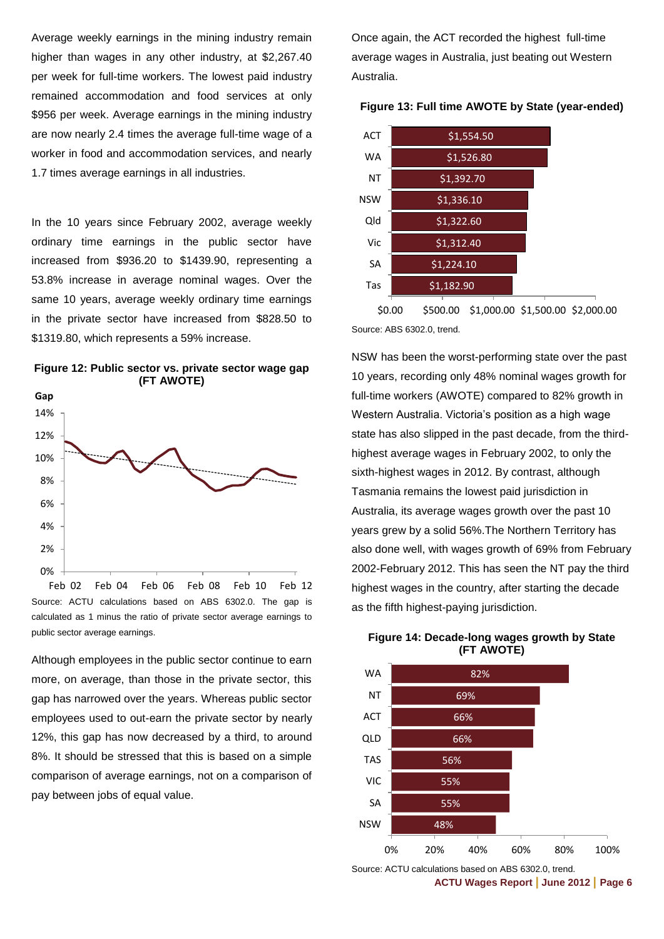Average weekly earnings in the mining industry remain higher than wages in any other industry, at \$2,267.40 per week for full-time workers. The lowest paid industry remained accommodation and food services at only \$956 per week. Average earnings in the mining industry are now nearly 2.4 times the average full-time wage of a worker in food and accommodation services, and nearly 1.7 times average earnings in all industries.

In the 10 years since February 2002, average weekly ordinary time earnings in the public sector have increased from \$936.20 to \$1439.90, representing a 53.8% increase in average nominal wages. Over the same 10 years, average weekly ordinary time earnings in the private sector have increased from \$828.50 to \$1319.80, which represents a 59% increase.





Source: ACTU calculations based on ABS 6302.0. The gap is calculated as 1 minus the ratio of private sector average earnings to public sector average earnings. Feb 02 Feb 04 Feb 06 Feb 08 Feb 10 Feb 12

Although employees in the public sector continue to earn more, on average, than those in the private sector, this gap has narrowed over the years. Whereas public sector employees used to out-earn the private sector by nearly 12%, this gap has now decreased by a third, to around 8%. It should be stressed that this is based on a simple comparison of average earnings, not on a comparison of pay between jobs of equal value.

Once again, the ACT recorded the highest full-time average wages in Australia, just beating out Western Australia.

**Figure 13: Full time AWOTE by State (year-ended)**

| <b>ACT</b> | \$1,554.50 |  |
|------------|------------|--|
| <b>WA</b>  | \$1,526.80 |  |
| NΤ         | \$1,392.70 |  |
| <b>NSW</b> | \$1,336.10 |  |
| Qld        | \$1,322.60 |  |
| Vic        | \$1,312.40 |  |
| SA         | \$1,224.10 |  |
| Tas        | \$1,182.90 |  |
|            |            |  |

Source: ABS 6302.0, trend. \$0.00 \$500.00 \$1,000.00 \$1,500.00 \$2,000.00

NSW has been the worst-performing state over the past 10 years, recording only 48% nominal wages growth for full-time workers (AWOTE) compared to 82% growth in Western Australia. Victoria's position as a high wage state has also slipped in the past decade, from the thirdhighest average wages in February 2002, to only the sixth-highest wages in 2012. By contrast, although Tasmania remains the lowest paid jurisdiction in Australia, its average wages growth over the past 10 years grew by a solid 56%.The Northern Territory has also done well, with wages growth of 69% from February 2002-February 2012. This has seen the NT pay the third highest wages in the country, after starting the decade as the fifth highest-paying jurisdiction.



**Figure 14: Decade-long wages growth by State (FT AWOTE)**

Source: ACTU calculations based on ABS 6302.0, trend.

**ACTU Wages Report | June 2012 | Page 6**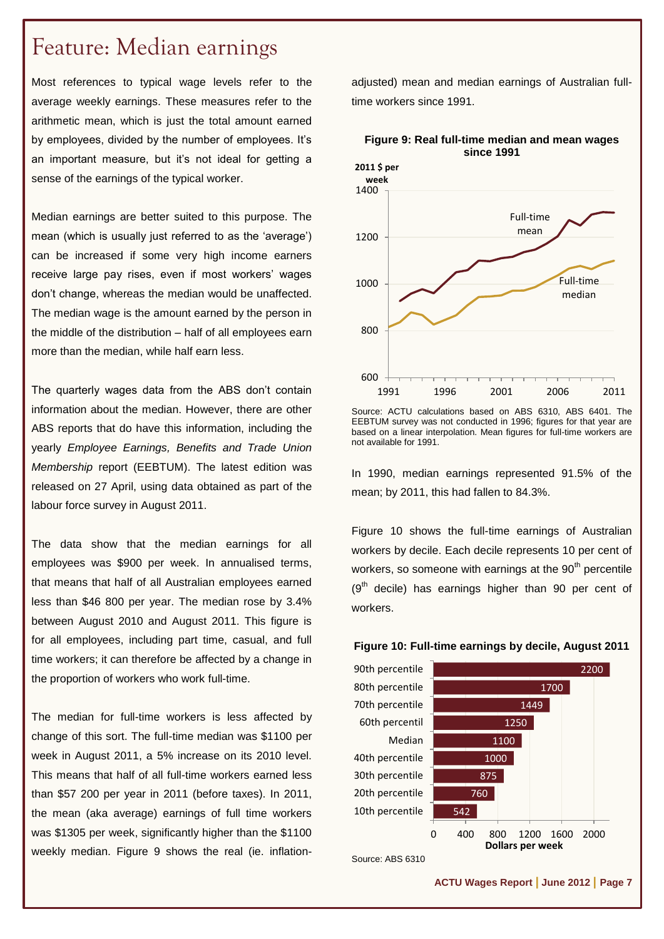## Feature: Median earnings

Most references to typical wage levels refer to the average weekly earnings. These measures refer to the arithmetic mean, which is just the total amount earned by employees, divided by the number of employees. It's an important measure, but it's not ideal for getting a sense of the earnings of the typical worker.

Median earnings are better suited to this purpose. The mean (which is usually just referred to as the 'average') can be increased if some very high income earners receive large pay rises, even if most workers' wages don't change, whereas the median would be unaffected. The median wage is the amount earned by the person in the middle of the distribution – half of all employees earn more than the median, while half earn less.

The quarterly wages data from the ABS don't contain information about the median. However, there are other ABS reports that do have this information, including the yearly *Employee Earnings, Benefits and Trade Union Membership* report (EEBTUM). The latest edition was released on 27 April, using data obtained as part of the labour force survey in August 2011.

The data show that the median earnings for all employees was \$900 per week. In annualised terms, that means that half of all Australian employees earned less than \$46 800 per year. The median rose by 3.4% between August 2010 and August 2011. This figure is for all employees, including part time, casual, and full time workers; it can therefore be affected by a change in the proportion of workers who work full-time.

The median for full-time workers is less affected by change of this sort. The full-time median was \$1100 per week in August 2011, a 5% increase on its 2010 level. This means that half of all full-time workers earned less than \$57 200 per year in 2011 (before taxes). In 2011, the mean (aka average) earnings of full time workers was \$1305 per week, significantly higher than the \$1100 weekly median. [Figure 9](#page-6-0) shows the real (ie. inflation-

adjusted) mean and median earnings of Australian fulltime workers since 1991.



#### <span id="page-6-0"></span>**Figure 9: Real full-time median and mean wages since 1991**

In 1990, median earnings represented 91.5% of the mean; by 2011, this had fallen to 84.3%.

[Figure 10](#page-6-1) shows the full-time earnings of Australian workers by decile. Each decile represents 10 per cent of workers, so someone with earnings at the  $90<sup>th</sup>$  percentile  $(9<sup>th</sup>$  decile) has earnings higher than 90 per cent of workers.

<span id="page-6-1"></span>



Source: ABS 6310

Source: ACTU calculations based on ABS 6310, ABS 6401. The EEBTUM survey was not conducted in 1996; figures for that year are based on a linear interpolation. Mean figures for full-time workers are not available for 1991.